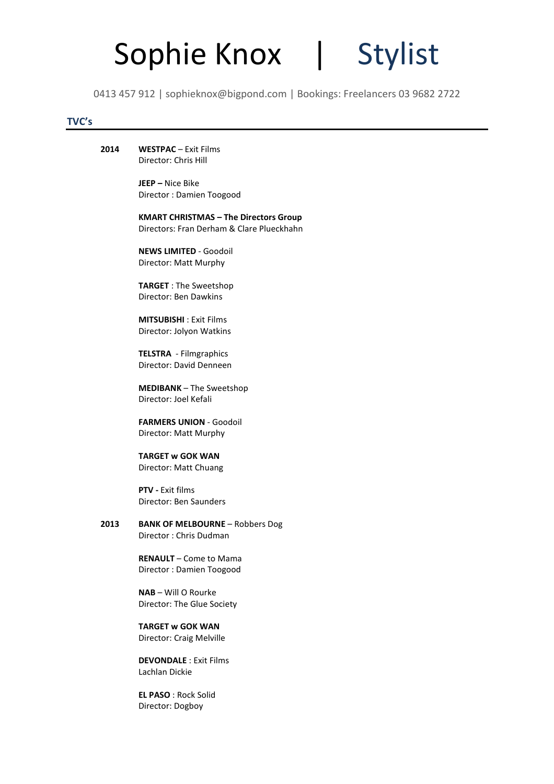

0413 457 912 | sophieknox@bigpond.com | Bookings: Freelancers 03 9682 2722

### TVC's

2014 WESTPAC – Exit Films Director: Chris Hill

> JEEP – Nice Bike Director : Damien Toogood

 KMART CHRISTMAS – The Directors Group Directors: Fran Derham & Clare Plueckhahn

 NEWS LIMITED - Goodoil Director: Matt Murphy

 TARGET : The Sweetshop Director: Ben Dawkins

 MITSUBISHI : Exit Films Director: Jolyon Watkins

 TELSTRA - Filmgraphics Director: David Denneen

 MEDIBANK – The Sweetshop Director: Joel Kefali

 FARMERS UNION - Goodoil Director: Matt Murphy

 TARGET w GOK WAN Director: Matt Chuang

 PTV - Exit films Director: Ben Saunders

2013 BANK OF MELBOURNE – Robbers Dog Director : Chris Dudman

> RENAULT – Come to Mama Director : Damien Toogood

 NAB – Will O Rourke Director: The Glue Society

 TARGET w GOK WAN Director: Craig Melville

 DEVONDALE : Exit Films Lachlan Dickie

 EL PASO : Rock Solid Director: Dogboy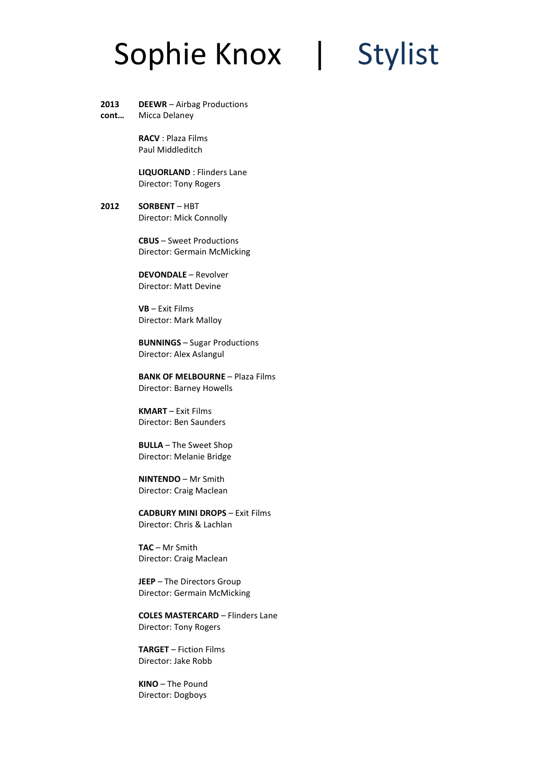- 2013 DEEWR – Airbag Productions
- cont… Micca Delaney

 RACV : Plaza Films Paul Middleditch

 LIQUORLAND : Flinders Lane Director: Tony Rogers

### 2012 SORBENT – HBT Director: Mick Connolly

CBUS – Sweet Productions Director: Germain McMicking

DEVONDALE – Revolver Director: Matt Devine

VB – Exit Films Director: Mark Malloy

BUNNINGS – Sugar Productions Director: Alex Aslangul

BANK OF MELBOURNE – Plaza Films Director: Barney Howells

KMART – Exit Films Director: Ben Saunders

BULLA – The Sweet Shop Director: Melanie Bridge

NINTENDO – Mr Smith Director: Craig Maclean

CADBURY MINI DROPS – Exit Films Director: Chris & Lachlan

TAC – Mr Smith Director: Craig Maclean

JEEP – The Directors Group Director: Germain McMicking

COLES MASTERCARD – Flinders Lane Director: Tony Rogers

TARGET – Fiction Films Director: Jake Robb

KINO – The Pound Director: Dogboys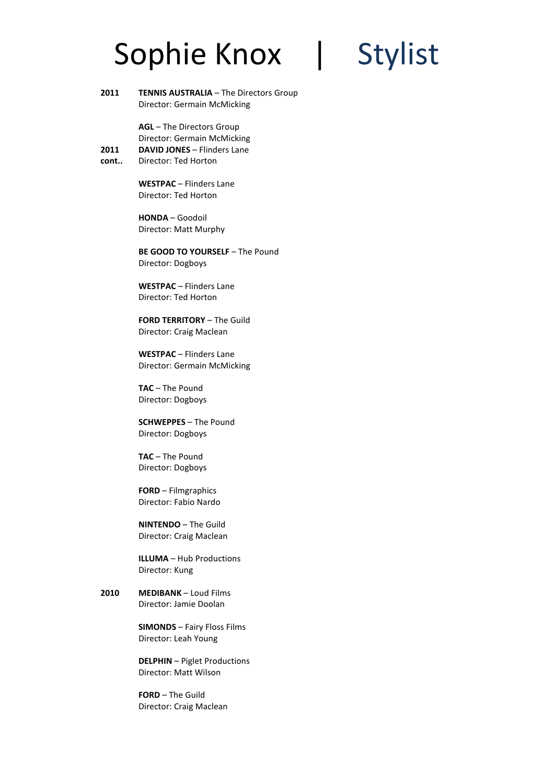

2011 TENNIS AUSTRALIA - The Directors Group Director: Germain McMicking

> AGL – The Directors Group Director: Germain McMicking DAVID JONES – Flinders Lane

cont.. Director: Ted Horton

2011

WESTPAC – Flinders Lane Director: Ted Horton

HONDA – Goodoil Director: Matt Murphy

BE GOOD TO YOURSELF - The Pound Director: Dogboys

WESTPAC – Flinders Lane Director: Ted Horton

FORD TERRITORY – The Guild Director: Craig Maclean

WESTPAC – Flinders Lane Director: Germain McMicking

TAC – The Pound Director: Dogboys

SCHWEPPES – The Pound Director: Dogboys

TAC – The Pound Director: Dogboys

FORD – Filmgraphics Director: Fabio Nardo

NINTENDO – The Guild Director: Craig Maclean

ILLUMA – Hub Productions Director: Kung

2010 MEDIBANK – Loud Films Director: Jamie Doolan

> SIMONDS – Fairy Floss Films Director: Leah Young

DELPHIN – Piglet Productions Director: Matt Wilson

FORD – The Guild Director: Craig Maclean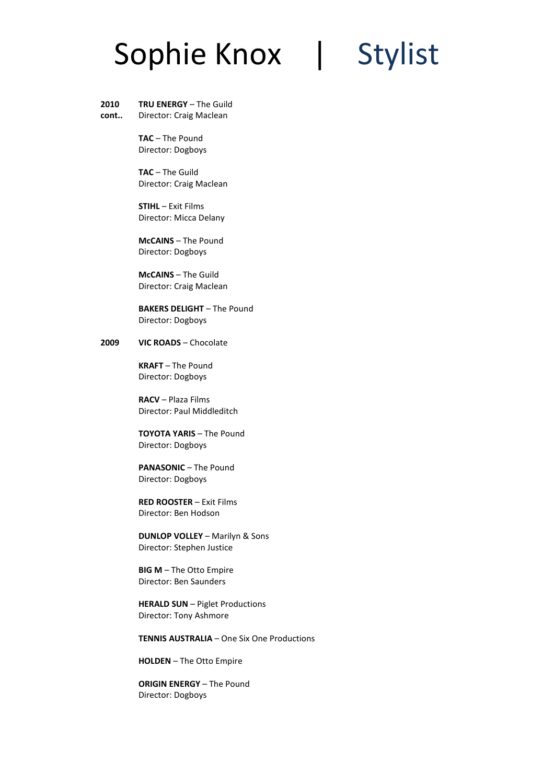### 2010 TRU ENERGY – The Guild

cont.. Director: Craig Maclean

> TAC – The Pound Director: Dogboys

TAC – The Guild Director: Craig Maclean

STIHL – Exit Films Director: Micca Delany

McCAINS – The Pound Director: Dogboys

McCAINS – The Guild Director: Craig Maclean

BAKERS DELIGHT – The Pound Director: Dogboys

### 2009 VIC ROADS – Chocolate

KRAFT – The Pound Director: Dogboys

RACV – Plaza Films Director: Paul Middleditch

TOYOTA YARIS – The Pound Director: Dogboys

PANASONIC – The Pound Director: Dogboys

RED ROOSTER – Exit Films Director: Ben Hodson

DUNLOP VOLLEY – Marilyn & Sons Director: Stephen Justice

BIG M – The Otto Empire Director: Ben Saunders

HERALD SUN – Piglet Productions Director: Tony Ashmore

TENNIS AUSTRALIA – One Six One Productions

HOLDEN – The Otto Empire

ORIGIN ENERGY – The Pound Director: Dogboys